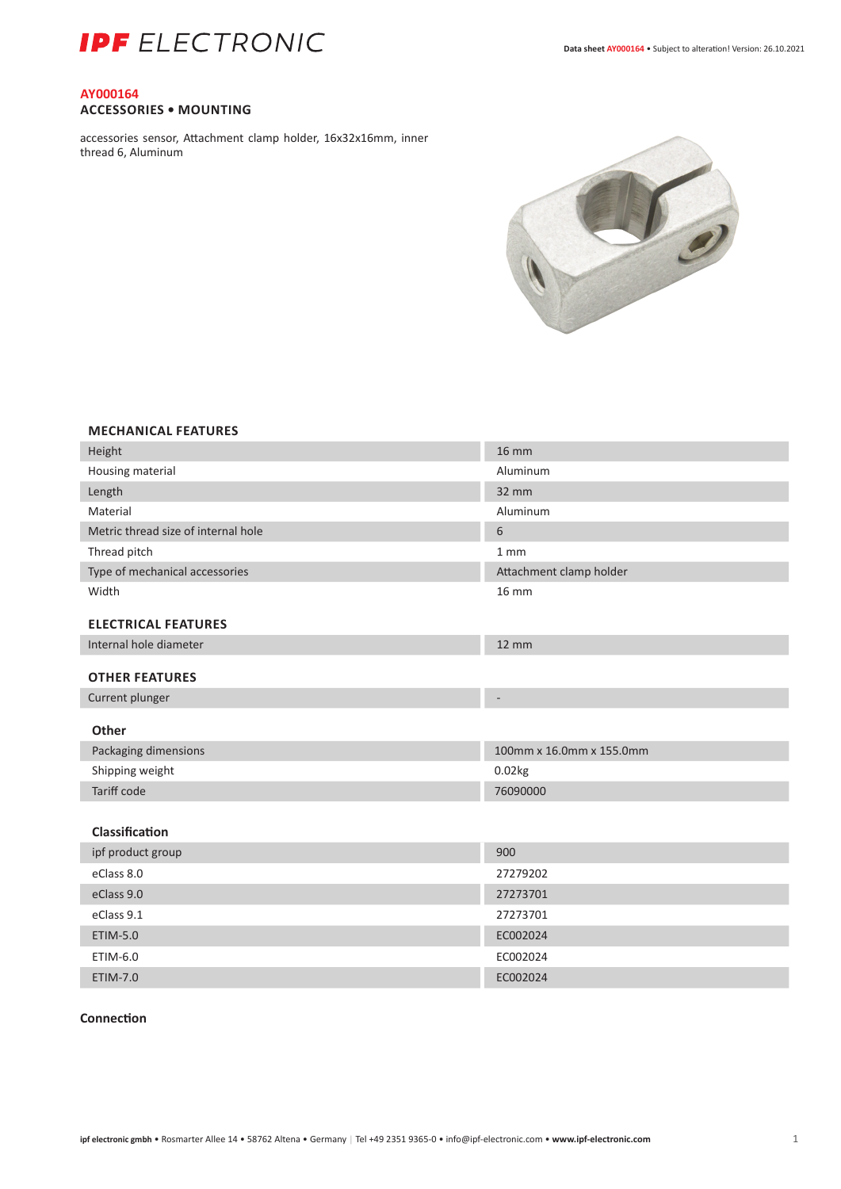

## **AY000164 ACCESSORIES • MOUNTING**

accessories sensor, Attachment clamp holder, 16x32x16mm, inner thread 6, Aluminum



## **MECHANICAL FEATURES**

| Height                              | <b>16 mm</b>             |
|-------------------------------------|--------------------------|
| Housing material                    | Aluminum                 |
| Length                              | 32 mm                    |
| Material                            | Aluminum                 |
| Metric thread size of internal hole | 6                        |
| Thread pitch                        | 1 <sub>mm</sub>          |
| Type of mechanical accessories      | Attachment clamp holder  |
| Width                               | <b>16 mm</b>             |
| <b>ELECTRICAL FEATURES</b>          |                          |
| Internal hole diameter              | $12 \, \text{mm}$        |
| <b>OTHER FEATURES</b>               |                          |
| Current plunger                     |                          |
|                                     |                          |
|                                     |                          |
| <b>Other</b>                        |                          |
| Packaging dimensions                | 100mm x 16.0mm x 155.0mm |
| Shipping weight                     | 0.02kg                   |
| Tariff code                         | 76090000                 |
| Classification                      |                          |
| ipf product group                   | 900                      |
| eClass 8.0                          | 27279202                 |
| eClass 9.0                          | 27273701                 |
| eClass 9.1                          | 27273701                 |
| ETIM-5.0                            | EC002024                 |
| ETIM-6.0                            | EC002024                 |

### **Connection**